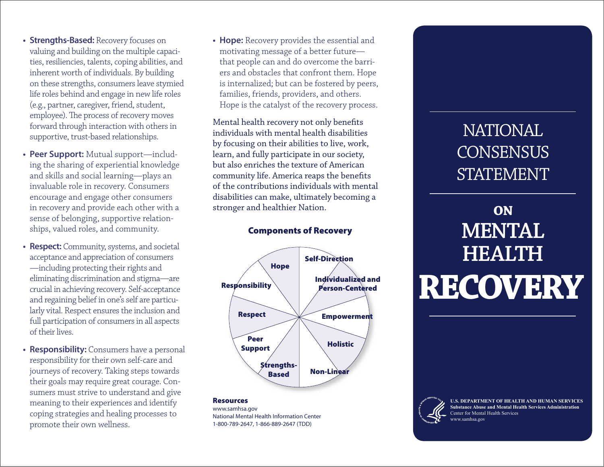- **Strengths-Based:** Recovery focuses on valuing and building on the multiple capacities, resiliencies, talents, coping abilities, and inherent worth of individuals. By building on these strengths, consumers leave stymied life roles behind and engage in new life roles (e.g., partner, caregiver, friend, student, employee). The process of recovery moves forward through interaction with others in supportive, trust-based relationships.
- **Peer Support:** Mutual support—including the sharing of experiential knowledge and skills and social learning—plays an invaluable role in recovery. Consumers encourage and engage other consumers in recovery and provide each other with a sense of belonging, supportive relationships, valued roles, and community.
- **Respect:** Community, systems, and societal acceptance and appreciation of consumers —including protecting their rights and eliminating discrimination and stigma—are crucial in achieving recovery. Self-acceptance and regaining belief in one's self are particularly vital. Respect ensures the inclusion and full participation of consumers in all aspects of their lives.
- **Responsibility:** Consumers have a personal responsibility for their own self-care and journeys of recovery. Taking steps towards their goals may require great courage. Consumers must strive to understand and give meaning to their experiences and identify coping strategies and healing processes to promote their own wellness.

**• Hope:** Recovery provides the essential and motivating message of a better future that people can and do overcome the barriers and obstacles that confront them. Hope is internalized; but can be fostered by peers, families, friends, providers, and others. Hope is the catalyst of the recovery process.

Mental health recovery not only benefits individuals with mental health disabilities by focusing on their abilities to live, work, learn, and fully participate in our society, but also enriches the texture of American community life. America reaps the benefits of the contributions individuals with mental disabilities can make, ultimately becoming a stronger and healthier Nation.



www.samhsa.gov

National Mental Health Information Center 1-800-789-2647, 1-866-889-2647 (TDD)

## Components of Recovery

**U.S. DEPARTMENT OF HEALTH AND HUMAN SERVICES Substance Abuse and Mental Health Services Administration** Center for Mental Health Services www.samhsa.gov

**NATIONAL** 

**CONSENSUS** 

STATEMENT

**ON**

**MENTAL** 

**HEALTH**

**RECOVERY**